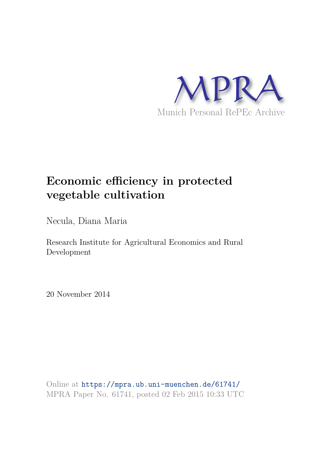

# **Economic efficiency in protected vegetable cultivation**

Necula, Diana Maria

Research Institute for Agricultural Economics and Rural Development

20 November 2014

Online at https://mpra.ub.uni-muenchen.de/61741/ MPRA Paper No. 61741, posted 02 Feb 2015 10:33 UTC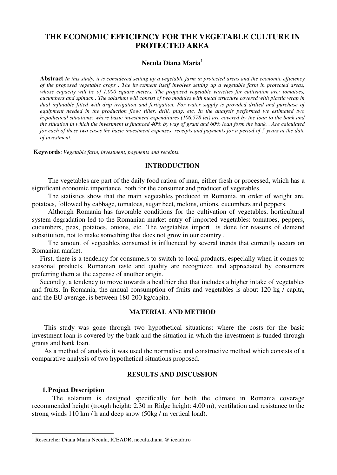## **THE ECONOMIC EFFICIENCY FOR THE VEGETABLE CULTURE IN PROTECTED AREA**

## **Necula Diana Maria<sup>1</sup>**

**Abstract** *In this study, it is considered setting up a vegetable farm in protected areas and the economic efficiency of the proposed vegetable crops . The investment itself involves setting up a vegetable farm in protected areas, whose capacity will be of 1,000 square meters. The proposed vegetable varieties for cultivation are: tomatoes, cucumbers and spinach . The solarium will consist of two modules with metal structure covered with plastic wrap in dual inflatable fitted with drip irrigation and fertigation. For water supply is provided drilled and purchase of equipment needed in the production flow: tiller, drill, plug, etc. In the analysis performed we estimated two hypothetical situations: where basic investment expenditures (106,578 lei) are covered by the loan to the bank and the situation in which the investment is financed 40% by way of grant and 60% loan form the bank. . Are calculated for each of these two cases the basic investment expenses, receipts and payments for a period of 5 years at the date of investment*.

**Keywords**: *Vegetable farm, investment, payments and receipts.*

#### **INTRODUCTION**

The vegetables are part of the daily food ration of man, either fresh or processed, which has a significant economic importance, both for the consumer and producer of vegetables.

The statistics show that the main vegetables produced in Romania, in order of weight are, potatoes, followed by cabbage, tomatoes, sugar beet, melons, onions, cucumbers and peppers.

Although Romania has favorable conditions for the cultivation of vegetables, horticultural system degradation led to the Romanian market entry of imported vegetables: tomatoes, peppers, cucumbers, peas, potatoes, onions, etc. The vegetables import is done for reasons of demand substitution, not to make something that does not grow in our country .

The amount of vegetables consumed is influenced by several trends that currently occurs on Romanian market.

First, there is a tendency for consumers to switch to local products, especially when it comes to seasonal products. Romanian taste and quality are recognized and appreciated by consumers preferring them at the expense of another origin.

Secondly, a tendency to move towards a healthier diet that includes a higher intake of vegetables and fruits. In Romania, the annual consumption of fruits and vegetables is about 120 kg / capita, and the EU average, is between 180-200 kg/capita.

#### **MATERIAL AND METHOD**

 This study was gone through two hypothetical situations: where the costs for the basic investment loan is covered by the bank and the situation in which the investment is funded through grants and bank loan.

 As a method of analysis it was used the normative and constructive method which consists of a comparative analysis of two hypothetical situations proposed.

## **RESULTS AND DISCUSSION**

#### **1.Project Description**

-

 The solarium is designed specifically for both the climate in Romania coverage recommended height (trough height: 2.30 m Ridge height: 4.00 m), ventilation and resistance to the strong winds 110 km / h and deep snow (50kg / m vertical load).

<sup>&</sup>lt;sup>1</sup> Researcher Diana Maria Necula, ICEADR, necula.diana @ iceadr.ro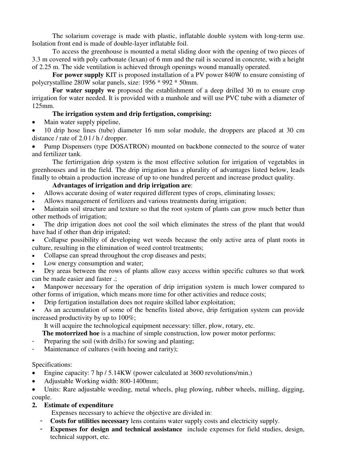The solarium coverage is made with plastic, inflatable double system with long-term use. Isolation front end is made of double-layer inflatable foil.

 To access the greenhouse is mounted a metal sliding door with the opening of two pieces of 3.3 m covered with poly carbonate (lexan) of 6 mm and the rail is secured in concrete, with a height of 2.25 m. The side ventilation is achieved through openings wound manually operated.

 **For power supply** KIT is proposed installation of a PV power 840W to ensure consisting of polycrystalline 280W solar panels, size: 1956 \* 992 \* 50mm.

 **For water supply we** proposed the establishment of a deep drilled 30 m to ensure crop irrigation for water needed. It is provided with a manhole and will use PVC tube with a diameter of 125mm.

## **The irrigation system and drip fertigation, comprising:**

Main water supply pipeline,

• 10 drip hose lines (tube) diameter 16 mm solar module, the droppers are placed at 30 cm distance / rate of 2.0 l / h / dropper.

 Pump Dispensers (type DOSATRON) mounted on backbone connected to the source of water and fertilizer tank.

 The fertirrigation drip system is the most effective solution for irrigation of vegetables in greenhouses and in the field. The drip irrigation has a plurality of advantages listed below, leads finally to obtain a production increase of up to one hundred percent and increase product quality.

## **Advantages of irrigation and drip irrigation are**:

Allows accurate dosing of water required different types of crops, eliminating losses;

Allows management of fertilizers and various treatments during irrigation;

 Maintain soil structure and texture so that the root system of plants can grow much better than other methods of irrigation;

 The drip irrigation does not cool the soil which eliminates the stress of the plant that would have had if other than drip irrigated;

 Collapse possibility of developing wet weeds because the only active area of plant roots in culture, resulting in the elimination of weed control treatments;

- Collapse can spread throughout the crop diseases and pests;
- Low energy consumption and water;

 Dry areas between the rows of plants allow easy access within specific cultures so that work can be made easier and faster .;

 Manpower necessary for the operation of drip irrigation system is much lower compared to other forms of irrigation, which means more time for other activities and reduce costs;

Drip fertigation installation does not require skilled labor exploitation;

 As an accumulation of some of the benefits listed above, drip fertigation system can provide increased productivity by up to 100%;

It will acquire the technological equipment necessary: tiller, plow, rotary, etc.

 **The motorrized hoe** is a machine of simple construction, low power motor performs:

- Preparing the soil (with drills) for sowing and planting;
- Maintenance of cultures (with hoeing and rarity);

Specifications:

- Engine capacity: 7 hp / 5.14KW (power calculated at 3600 revolutions/min.)
- Adjustable Working width: 800-1400mm;

 Units: Rare adjustable weeding, metal wheels, plug plowing, rubber wheels, milling, digging, couple.

## **2. Estimate of expenditure**

Expenses necessary to achieve the objective are divided in:

- **Costs for utilities necessary** lens contains water supply costs and electricity supply.
- **Expenses for design and technical assistance** include expenses for field studies, design, technical support, etc.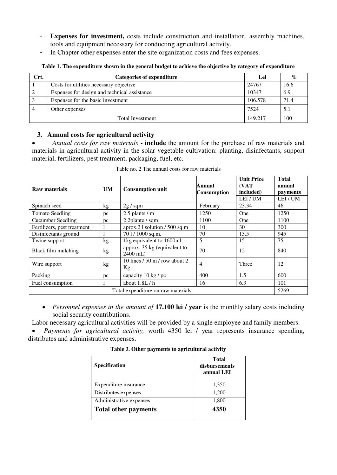- **Expenses for investment,** costs include construction and installation, assembly machines, tools and equipment necessary for conducting agricultural activity.
- In Chapter other expenses enter the site organization costs and fees expenses.

| Crt. | Categories of expenditure                    | Lei     | $\%$ |
|------|----------------------------------------------|---------|------|
|      | Costs for utilities necessary objective      | 24767   | 16.6 |
|      | Expenses for design and technical assistance | 10347   | 6.9  |
|      | Expenses for the basic investment            | 106.578 | 71.4 |
|      | Other expenses                               | 7524    | 5.1  |
|      | <b>Total Investment</b>                      | 149.217 | 100  |

**Table 1. The expenditure shown in the general budget to achieve the objective by category of expenditure** 

## **3. Annual costs for agricultural activity**

 *Annual costs for raw materials* **- include** the amount for the purchase of raw materials and materials in agricultural activity in the solar vegetable cultivation: planting, disinfectants, support material, fertilizers, pest treatment, packaging, fuel, etc.

| Raw materials               | UM | <b>Consumption unit</b>                    | Annual<br><b>Consumption</b> | <b>Unit Price</b><br>(VAT)<br>included) | <b>Total</b><br>annual<br>payments |
|-----------------------------|----|--------------------------------------------|------------------------------|-----------------------------------------|------------------------------------|
|                             |    |                                            |                              | LEI/UM                                  | LEI/UM                             |
| Spinach seed                | kg | 2g / sqm                                   | February                     | 23.34                                   | 46                                 |
| <b>Tomato Seedling</b>      | pc | $2.5$ plants / m                           | 1250                         | One                                     | 1250                               |
| <b>Cucumber Seedling</b>    | pc | 2.2 plante / sqm                           | 1100                         | <b>One</b>                              | 1100                               |
| Fertilizers, pest treatment |    | aprox.2 l solution $/$ 500 sq m            | 10                           | 30                                      | 300                                |
| Disinfectants ground        |    | 701/1000 sq.m.                             | 70                           | 13.5                                    | 945                                |
| Twine support               | kg | 1kg equivalent to 1600ml                   | 5                            | 15                                      | 75                                 |
| Black film mulching         | kg | approx. 35 kg (equivalent to<br>$2400$ mL) | 70                           | 12                                      | 840                                |
| Wire support                | kg | 10 lines $/50$ m $/$ row about 2<br>Kg     | 4                            | Three                                   | 12                                 |
| Packing                     | pc | capacity 10 kg / pc                        | 400                          | 1.5                                     | 600                                |
| Fuel consumption            |    | about 1.8L/h                               | 16                           | 6.3                                     | 101                                |
|                             |    | Total expenditure on raw materials         |                              |                                         | 5269                               |

Table no. 2 The annual costs for raw materials

 *Personnel expenses in the amount of* **17.100 lei / year** is the monthly salary costs including social security contributions.

Labor necessary agricultural activities will be provided by a single employee and family members.

 *Payments for agricultural activity,* worth 4350 lei / year represents insurance spending, distributes and administrative expenses.

|             | . . |               |
|-------------|-----|---------------|
|             |     | <b>Total</b>  |
| ecification |     | disbursements |
|             |     | . I T INT     |

**Table 3. Other payments to agricultural activity** 

| <b>Specification</b>        | <b>Total</b><br>disbursements<br>annual LEI |
|-----------------------------|---------------------------------------------|
| Expenditure insurance       | 1,350                                       |
| Distributes expenses        | 1,200                                       |
| Administrative expenses     | 1,800                                       |
| <b>Total other payments</b> | 4350                                        |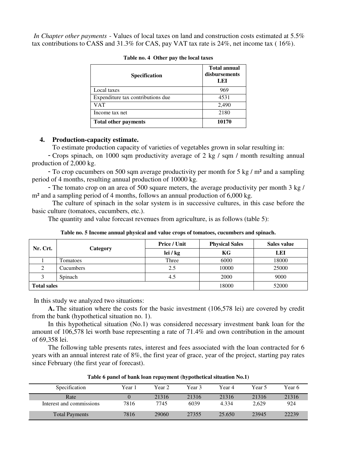*In Chapter other payments* - Values of local taxes on land and construction costs estimated at 5.5% tax contributions to CASS and 31.3% for CAS, pay VAT tax rate is 24%, net income tax ( 16%).

| <b>Specification</b>              | <b>Total annual</b><br>disbursements<br>LEI |
|-----------------------------------|---------------------------------------------|
| Local taxes                       | 969                                         |
| Expenditure tax contributions due | 4531                                        |
| VAT                               | 2,490                                       |
| Income tax net                    | 2180                                        |
| <b>Total other payments</b>       | 10170                                       |

| Table no. 4 Other pay the local taxes |  |  |  |  |
|---------------------------------------|--|--|--|--|
|---------------------------------------|--|--|--|--|

### **4. Production-capacity estimate.**

To estimate production capacity of varieties of vegetables grown in solar resulting in:

- Crops spinach, on 1000 sqm productivity average of 2 kg / sqm / month resulting annual production of 2,000 kg.

- To crop cucumbers on 500 sqm average productivity per month for 5 kg / m<sup>2</sup> and a sampling period of 4 months, resulting annual production of 10000 kg.

- The tomato crop on an area of 500 square meters, the average productivity per month 3 kg / m² and a sampling period of 4 months, follows an annual production of 6,000 kg.

 The culture of spinach in the solar system is in successive cultures, in this case before the basic culture (tomatoes, cucumbers, etc.).

The quantity and value forecast revenues from agriculture, is as follows (table 5):

|                    |           | Price / Unit | <b>Physical Sales</b> | Sales value |
|--------------------|-----------|--------------|-----------------------|-------------|
| Nr. Crt.           | Category  | lei / kg     | KG                    | LEI         |
|                    | Tomatoes  | Three        | 6000                  | 18000       |
|                    | Cucumbers | 2.5          | 10000                 | 25000       |
|                    | Spinach   | 4.5          | 2000                  | 9000        |
| <b>Total sales</b> |           | 18000        | 52000                 |             |

**Table no. 5 Income annual physical and value crops of tomatoes, cucumbers and spinach.** 

In this study we analyzed two situations:

**A.** The situation where the costs for the basic investment (106,578 lei) are covered by credit from the bank (hypothetical situation no. 1).

In this hypothetical situation (No.1) was considered necessary investment bank loan for the amount of 106,578 lei worth base representing a rate of 71.4% and own contribution in the amount of 69,358 lei.

The following table presents rates, interest and fees associated with the loan contracted for 6 years with an annual interest rate of 8%, the first year of grace, year of the project, starting pay rates since February (the first year of forecast).

| Specification            | Year 1 | Year 2 | Year 3 | Year 4 | Year 5 | Year 6 |
|--------------------------|--------|--------|--------|--------|--------|--------|
| Rate                     |        | 21316  | 21316  | 21316  | 21316  | 21316  |
| Interest and commissions | 7816   | 7745   | 6039   | 4.334  | 2.629  | 924    |
| <b>Total Payments</b>    | 7816   | 29060  | 27355  | 25.650 | 23945  | 22239  |

**Table 6 panel of bank loan repayment (hypothetical situation No.1)**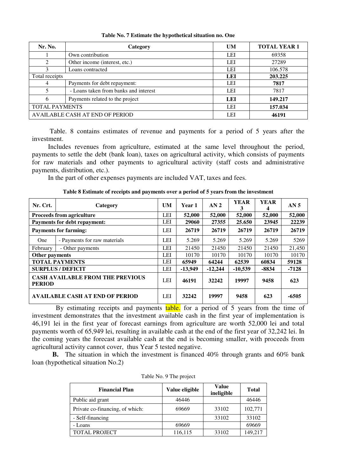|  |  | Table No. 7 Estimate the hypothetical situation no. One |  |  |
|--|--|---------------------------------------------------------|--|--|
|--|--|---------------------------------------------------------|--|--|

| Nr. No.                     | Category                               | UM  | <b>TOTAL YEAR 1</b> |
|-----------------------------|----------------------------------------|-----|---------------------|
|                             | Own contribution                       | LEI | 69358               |
| $\mathcal{D}_{\mathcal{L}}$ | Other income (interest, etc.)          | LEI | 27289               |
|                             | Loans contracted                       | LEI | 106.578             |
| Total receipts              |                                        | LEI | 203.225             |
| $\overline{4}$              | Payments for debt repayment:           | LEI | 7817                |
| 5                           | - Loans taken from banks and interest  | LEI | 7817                |
| 6                           | Payments related to the project        | LEI | 149.217             |
| <b>TOTAL PAYMENTS</b>       |                                        | LEI | 157.034             |
|                             | <b>AVAILABLE CASH AT END OF PERIOD</b> | LEI | 46191               |

 Table. 8 contains estimates of revenue and payments for a period of 5 years after the investment.

Includes revenues from agriculture, estimated at the same level throughout the period, payments to settle the debt (bank loan), taxes on agricultural activity, which consists of payments for raw materials and other payments to agricultural activity (staff costs and administrative payments, distribution, etc.).

In the part of other expenses payments are included VAT, taxes and fees.

| Nr. Crt.       | Category                                | UM         | Year 1    | AN <sub>2</sub> | <b>YEAR</b> | <b>YEAR</b> | AN <sub>5</sub> |
|----------------|-----------------------------------------|------------|-----------|-----------------|-------------|-------------|-----------------|
|                | <b>Proceeds from agriculture</b>        | <b>LEI</b> | 52,000    | 52,000          | 52,000      | 52,000      | 52,000          |
|                | <b>Payments for debt repayment:</b>     | LEI        | 29060     | 27355           | 25.650      | 23945       | 22239           |
|                | <b>Payments for farming:</b>            | <b>LEI</b> | 26719     | 26719           | 26719       | 26719       | 26719           |
| One            | - Payments for raw materials            | LEI        | 5.269     | 5.269           | 5.269       | 5.269       | 5269            |
| February       | - Other payments                        | LEI        | 21450     | 21450           | 21450       | 21450       | 21,450          |
| Other payments |                                         | LEI        | 10170     | 10170           | 10170       | 10170       | 10170           |
|                | <b>TOTAL PAYMENTS</b>                   | <b>LEI</b> | 65949     | 64244           | 62539       | 60834       | 59128           |
|                | <b>SURPLUS / DEFICIT</b>                | LEI        | $-13,949$ | $-12,244$       | $-10,539$   | $-8834$     | $-7128$         |
| <b>PERIOD</b>  | <b>CASH AVAILABLE FROM THE PREVIOUS</b> | <b>LEI</b> | 46191     | 32242           | 19997       | 9458        | 623             |
|                | <b>AVAILABLE CASH AT END OF PERIOD</b>  | <b>LEI</b> | 32242     | 19997           | 9458        | 623         | $-6505$         |

**Table 8 Estimate of receipts and payments over a period of 5 years from the investment**

By estimating receipts and payments table. for a period of 5 years from the time of investment demonstrates that the investment available cash in the first year of implementation is 46,191 lei in the first year of forecast earnings from agriculture are worth 52,000 lei and total payments worth of 65,949 lei, resulting in available cash at the end of the first year of 32,242 lei. In the coming years the forecast available cash at the end is becoming smaller, with proceeds from agricultural activity cannot cover, thus Year 5 tested negative.

**B.** The situation in which the investment is financed 40% through grants and 60% bank loan (hypothetical situation No.2)

| <b>Financial Plan</b>           | Value eligible | Value<br>ineligible | <b>Total</b> |
|---------------------------------|----------------|---------------------|--------------|
| Public aid grant                | 46446          |                     | 46446        |
| Private co-financing, of which: | 69669          | 33102               | 102,771      |
| - Self-financing                |                | 33102               | 33102        |
| - Loans                         | 69669          |                     | 69669        |
| <b>TOTAL PROJECT</b>            | 116,115        | 33102               | 149,217      |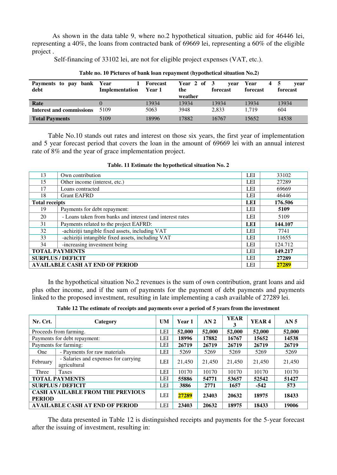As shown in the data table 9, where no.2 hypothetical situation, public aid for 46446 lei, representing a 40%, the loans from contracted bank of 69669 lei, representing a 60% of the eligible project .

Self-financing of 33102 lei, are not for eligible project expenses (VAT, etc.).

| Payments to pay bank Year<br>debt | Implementation | Forecast<br>Year 1 | Year 2 of 3<br>the<br>weather | vear<br>forecast | Year<br>4<br>forecast | - 5<br>vear<br>forecast |
|-----------------------------------|----------------|--------------------|-------------------------------|------------------|-----------------------|-------------------------|
| Rate                              |                | 13934              | 13934                         | 13934            | 13934                 | 13934                   |
| <b>Interest and commissions</b>   | 5109           | 5063               | 3948                          | 2.833            | 1.719                 | 604                     |
| <b>Total Payments</b>             | 5109           | 18996              | 17882                         | 16767            | 15652                 | 14538                   |

**Table no. 10 Pictures of bank loan repayment (hypothetical situation No.2)** 

Table No.10 stands out rates and interest on those six years, the first year of implementation and 5 year forecast period that covers the loan in the amount of 69669 lei with an annual interest rate of 8% and the year of grace implementation project.

| 13                                     | Own contribution                                          | <b>LEI</b> | 33102   |
|----------------------------------------|-----------------------------------------------------------|------------|---------|
| 15                                     | Other income (interest, etc.)                             | LEI        | 27289   |
| 17                                     | Loans contracted                                          | <b>LEI</b> | 69669   |
| 18                                     | <b>Grant EAFRD</b>                                        | <b>LEI</b> | 46446   |
| <b>Total receipts</b>                  |                                                           | <b>LEI</b> | 176.506 |
| 19                                     | Payments for debt repayment:                              | <b>LEI</b> | 5109    |
| 20                                     | - Loans taken from banks and interest (and interest rates | <b>LEI</b> | 5109    |
| 31                                     | Payments related to the project EAFRD:                    | LEI        | 144.107 |
| 32                                     | -achiziții tangible fixed assets, including VAT           | LEI        | 7741    |
| 33                                     | -achiziții intangible fixed assets, including VAT         | <b>LEI</b> | 11655   |
| 34                                     | -increasing investment being                              | <b>LEI</b> | 124.712 |
| <b>TOTAL PAYMENTS</b>                  |                                                           | LEI        | 149.217 |
| <b>SURPLUS / DEFICIT</b>               |                                                           | LEI        | 27289   |
| <b>AVAILABLE CASH AT END OF PERIOD</b> |                                                           |            | 27289   |

**Table. 11 Estimate the hypothetical situation No. 2** 

In the hypothetical situation No.2 revenues is the sum of own contribution, grant loans and aid plus other income, and if the sum of payments for the payment of debt payments and payments linked to the proposed investment, resulting in late implementing a cash available of 27289 lei.

**Table 12 The estimate of receipts and payments over a period of 5 years from the investment** 

| Nr. Crt.                                                 | Category                                             | UM         | Year 1 | AN <sub>2</sub> | <b>YEAR</b> | YEAR <sub>4</sub> | AN <sub>5</sub> |
|----------------------------------------------------------|------------------------------------------------------|------------|--------|-----------------|-------------|-------------------|-----------------|
| Proceeds from farming.                                   |                                                      | LEI        | 52,000 | 52,000          | 52,000      | 52,000            | 52,000          |
| Payments for debt repayment:                             |                                                      | LEI        | 18996  | 17882           | 16767       | 15652             | 14538           |
| Payments for farming:                                    |                                                      | LEI        | 26719  | 26719           | 26719       | 26719             | 26719           |
| <b>One</b>                                               | - Payments for raw materials                         | <b>LEI</b> | 5269   | 5269            | 5269        | 5269              | 5269            |
| February                                                 | - Salaries and expenses for carrying<br>agricultural | LEI        | 21,450 | 21,450          | 21,450      | 21,450            | 21,450          |
| Three                                                    | <b>Taxes</b>                                         | LEI        | 10170  | 10170           | 10170       | 10170             | 10170           |
| <b>TOTAL PAYMENTS</b>                                    |                                                      | LEI        | 55886  | 54771           | 53657       | 52542             | 51427           |
| <b>SURPLUS / DEFICIT</b>                                 |                                                      | LEI        | 3886   | 2771            | 1657        | $-542$            | 573             |
| <b>CASH AVAILABLE FROM THE PREVIOUS</b><br><b>PERIOD</b> |                                                      | LEI        | 27289  | 23403           | 20632       | 18975             | 18433           |
| <b>AVAILABLE CASH AT END OF PERIOD</b>                   |                                                      | LEI        | 23403  | 20632           | 18975       | 18433             | 19006           |

The data presented in Table 12 is distinguished receipts and payments for the 5-year forecast after the issuing of investment, resulting in: